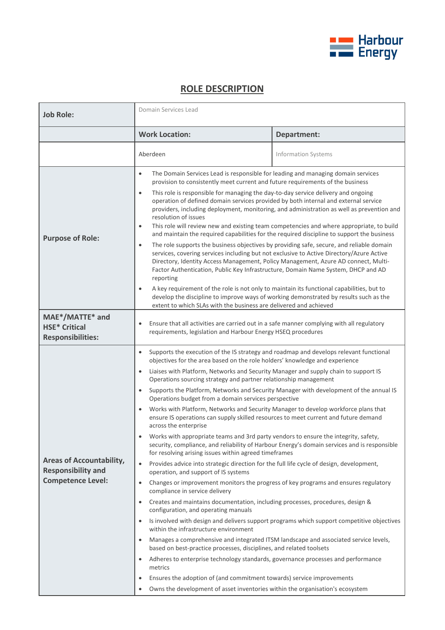

## **ROLE DESCRIPTION**

| <b>Job Role:</b>                                                                         | Domain Services Lead                                                                                                                                                                                                                                                                                                                                                                                                                                                                                                                                                                                                                                                                                                                                                                                                                                                                                                                                                                                                                                                                                                                                                                                                                                                                                                                                                                                                                                                                                                                                                                                                                                                                                                                                                                                                                                                                                                                                                                                                                          |                            |
|------------------------------------------------------------------------------------------|-----------------------------------------------------------------------------------------------------------------------------------------------------------------------------------------------------------------------------------------------------------------------------------------------------------------------------------------------------------------------------------------------------------------------------------------------------------------------------------------------------------------------------------------------------------------------------------------------------------------------------------------------------------------------------------------------------------------------------------------------------------------------------------------------------------------------------------------------------------------------------------------------------------------------------------------------------------------------------------------------------------------------------------------------------------------------------------------------------------------------------------------------------------------------------------------------------------------------------------------------------------------------------------------------------------------------------------------------------------------------------------------------------------------------------------------------------------------------------------------------------------------------------------------------------------------------------------------------------------------------------------------------------------------------------------------------------------------------------------------------------------------------------------------------------------------------------------------------------------------------------------------------------------------------------------------------------------------------------------------------------------------------------------------------|----------------------------|
|                                                                                          | <b>Work Location:</b>                                                                                                                                                                                                                                                                                                                                                                                                                                                                                                                                                                                                                                                                                                                                                                                                                                                                                                                                                                                                                                                                                                                                                                                                                                                                                                                                                                                                                                                                                                                                                                                                                                                                                                                                                                                                                                                                                                                                                                                                                         | Department:                |
|                                                                                          | Aberdeen                                                                                                                                                                                                                                                                                                                                                                                                                                                                                                                                                                                                                                                                                                                                                                                                                                                                                                                                                                                                                                                                                                                                                                                                                                                                                                                                                                                                                                                                                                                                                                                                                                                                                                                                                                                                                                                                                                                                                                                                                                      | <b>Information Systems</b> |
| <b>Purpose of Role:</b>                                                                  | The Domain Services Lead is responsible for leading and managing domain services<br>$\bullet$<br>provision to consistently meet current and future requirements of the business<br>This role is responsible for managing the day-to-day service delivery and ongoing<br>$\bullet$<br>operation of defined domain services provided by both internal and external service<br>providers, including deployment, monitoring, and administration as well as prevention and<br>resolution of issues<br>This role will review new and existing team competencies and where appropriate, to build<br>$\bullet$<br>and maintain the required capabilities for the required discipline to support the business<br>The role supports the business objectives by providing safe, secure, and reliable domain<br>$\bullet$<br>services, covering services including but not exclusive to Active Directory/Azure Active<br>Directory, Identity Access Management, Policy Management, Azure AD connect, Multi-<br>Factor Authentication, Public Key Infrastructure, Domain Name System, DHCP and AD<br>reporting<br>A key requirement of the role is not only to maintain its functional capabilities, but to<br>$\bullet$<br>develop the discipline to improve ways of working demonstrated by results such as the<br>extent to which SLAs with the business are delivered and achieved                                                                                                                                                                                                                                                                                                                                                                                                                                                                                                                                                                                                                                                                     |                            |
| MAE*/MATTE* and<br><b>HSE* Critical</b><br><b>Responsibilities:</b>                      | Ensure that all activities are carried out in a safe manner complying with all regulatory<br>$\bullet$<br>requirements, legislation and Harbour Energy HSEQ procedures                                                                                                                                                                                                                                                                                                                                                                                                                                                                                                                                                                                                                                                                                                                                                                                                                                                                                                                                                                                                                                                                                                                                                                                                                                                                                                                                                                                                                                                                                                                                                                                                                                                                                                                                                                                                                                                                        |                            |
| <b>Areas of Accountability,</b><br><b>Responsibility and</b><br><b>Competence Level:</b> | Supports the execution of the IS strategy and roadmap and develops relevant functional<br>$\bullet$<br>objectives for the area based on the role holders' knowledge and experience<br>Liaises with Platform, Networks and Security Manager and supply chain to support IS<br>$\bullet$<br>Operations sourcing strategy and partner relationship management<br>Supports the Platform, Networks and Security Manager with development of the annual IS<br>$\bullet$<br>Operations budget from a domain services perspective<br>Works with Platform, Networks and Security Manager to develop workforce plans that<br>$\bullet$<br>ensure IS operations can supply skilled resources to meet current and future demand<br>across the enterprise<br>Works with appropriate teams and 3rd party vendors to ensure the integrity, safety,<br>security, compliance, and reliability of Harbour Energy's domain services and is responsible<br>for resolving arising issues within agreed timeframes<br>Provides advice into strategic direction for the full life cycle of design, development,<br>$\bullet$<br>operation, and support of IS systems<br>Changes or improvement monitors the progress of key programs and ensures regulatory<br>$\bullet$<br>compliance in service delivery<br>Creates and maintains documentation, including processes, procedures, design &<br>$\bullet$<br>configuration, and operating manuals<br>Is involved with design and delivers support programs which support competitive objectives<br>$\bullet$<br>within the infrastructure environment<br>Manages a comprehensive and integrated ITSM landscape and associated service levels,<br>$\bullet$<br>based on best-practice processes, disciplines, and related toolsets<br>Adheres to enterprise technology standards, governance processes and performance<br>$\bullet$<br>metrics<br>Ensures the adoption of (and commitment towards) service improvements<br>$\bullet$<br>Owns the development of asset inventories within the organisation's ecosystem |                            |